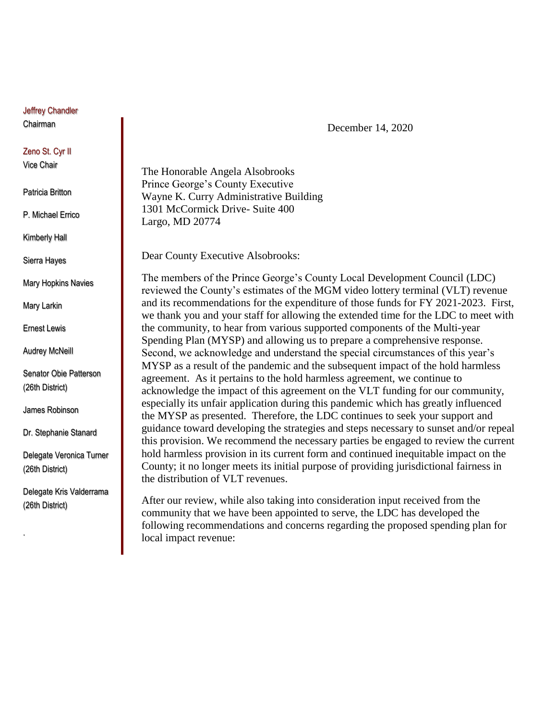Jeffrey Chandler Chairman

## Zeno St. Cyr II

Vice Chair

Patricia Britton

P. Michael Errico

Kimberly Hall

Sierra Hayes

Mary Hopkins Navies

Mary Larkin

Ernest Lewis

Audrey McNeill

Senator Obie Patterson (26th District)

James Robinson

Dr. Stephanie Stanard

Delegate Veronica Turner (26th District)

Delegate Kris Valderrama (26th District)

.

December 14, 2020

The Honorable Angela Alsobrooks Prince George's County Executive Wayne K. Curry Administrative Building 1301 McCormick Drive- Suite 400 Largo, MD 20774

Dear County Executive Alsobrooks:

The members of the Prince George's County Local Development Council (LDC) reviewed the County's estimates of the MGM video lottery terminal (VLT) revenue and its recommendations for the expenditure of those funds for FY 2021-2023. First, we thank you and your staff for allowing the extended time for the LDC to meet with the community, to hear from various supported components of the Multi-year Spending Plan (MYSP) and allowing us to prepare a comprehensive response. Second, we acknowledge and understand the special circumstances of this year's MYSP as a result of the pandemic and the subsequent impact of the hold harmless agreement. As it pertains to the hold harmless agreement, we continue to acknowledge the impact of this agreement on the VLT funding for our community, especially its unfair application during this pandemic which has greatly influenced the MYSP as presented. Therefore, the LDC continues to seek your support and guidance toward developing the strategies and steps necessary to sunset and/or repeal this provision. We recommend the necessary parties be engaged to review the current hold harmless provision in its current form and continued inequitable impact on the County; it no longer meets its initial purpose of providing jurisdictional fairness in the distribution of VLT revenues.

After our review, while also taking into consideration input received from the community that we have been appointed to serve, the LDC has developed the following recommendations and concerns regarding the proposed spending plan for local impact revenue: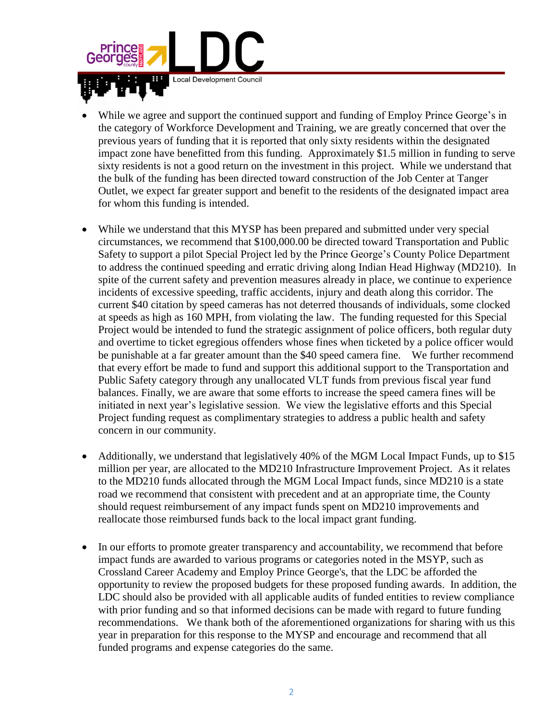

- While we agree and support the continued support and funding of Employ Prince George's in the category of Workforce Development and Training, we are greatly concerned that over the previous years of funding that it is reported that only sixty residents within the designated impact zone have benefitted from this funding. Approximately \$1.5 million in funding to serve sixty residents is not a good return on the investment in this project. While we understand that the bulk of the funding has been directed toward construction of the Job Center at Tanger Outlet, we expect far greater support and benefit to the residents of the designated impact area for whom this funding is intended.
- While we understand that this MYSP has been prepared and submitted under very special circumstances, we recommend that \$100,000.00 be directed toward Transportation and Public Safety to support a pilot Special Project led by the Prince George's County Police Department to address the continued speeding and erratic driving along Indian Head Highway (MD210). In spite of the current safety and prevention measures already in place, we continue to experience incidents of excessive speeding, traffic accidents, injury and death along this corridor. The current \$40 citation by speed cameras has not deterred thousands of individuals, some clocked at speeds as high as 160 MPH, from violating the law. The funding requested for this Special Project would be intended to fund the strategic assignment of police officers, both regular duty and overtime to ticket egregious offenders whose fines when ticketed by a police officer would be punishable at a far greater amount than the \$40 speed camera fine. We further recommend that every effort be made to fund and support this additional support to the Transportation and Public Safety category through any unallocated VLT funds from previous fiscal year fund balances. Finally, we are aware that some efforts to increase the speed camera fines will be initiated in next year's legislative session. We view the legislative efforts and this Special Project funding request as complimentary strategies to address a public health and safety concern in our community.
- Additionally, we understand that legislatively 40% of the MGM Local Impact Funds, up to \$15 million per year, are allocated to the MD210 Infrastructure Improvement Project. As it relates to the MD210 funds allocated through the MGM Local Impact funds, since MD210 is a state road we recommend that consistent with precedent and at an appropriate time, the County should request reimbursement of any impact funds spent on MD210 improvements and reallocate those reimbursed funds back to the local impact grant funding.
- In our efforts to promote greater transparency and accountability, we recommend that before impact funds are awarded to various programs or categories noted in the MSYP, such as Crossland Career Academy and Employ Prince George's, that the LDC be afforded the opportunity to review the proposed budgets for these proposed funding awards. In addition, the LDC should also be provided with all applicable audits of funded entities to review compliance with prior funding and so that informed decisions can be made with regard to future funding recommendations. We thank both of the aforementioned organizations for sharing with us this year in preparation for this response to the MYSP and encourage and recommend that all funded programs and expense categories do the same.